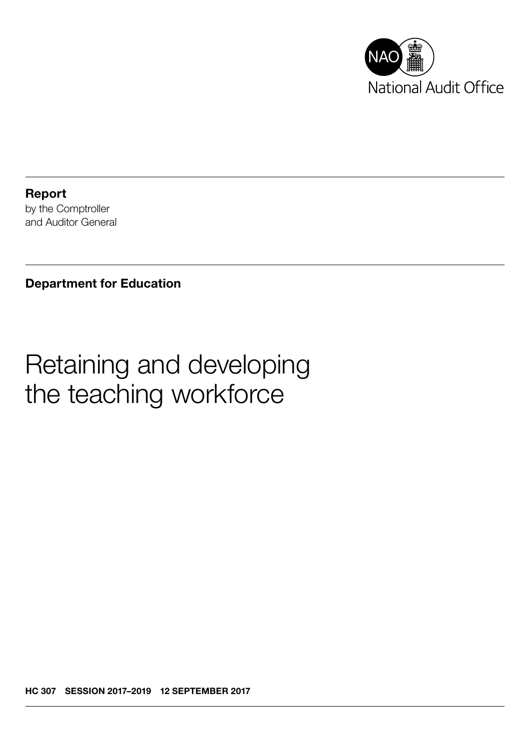

Report by the Comptroller and Auditor General

Department for Education

# Retaining and developing the teaching workforce

HC 307 SESSION 2017–2019 12 SEPTEMBER 2017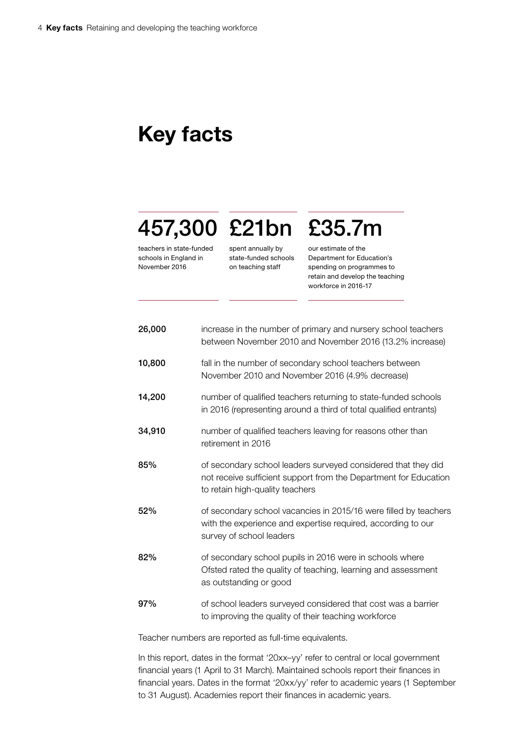## Key facts

# 457,300 £21bn £35.7m

teachers in state-funded schools in England in November 2016

spent annually by state-funded schools on teaching staff

our estimate of the

Department for Education's spending on programmes to retain and develop the teaching workforce in 2016-17

| 26,000 | increase in the number of primary and nursery school teachers<br>between November 2010 and November 2016 (13.2% increase)                                            |
|--------|----------------------------------------------------------------------------------------------------------------------------------------------------------------------|
| 10,800 | fall in the number of secondary school teachers between<br>November 2010 and November 2016 (4.9% decrease)                                                           |
| 14,200 | number of qualified teachers returning to state-funded schools<br>in 2016 (representing around a third of total qualified entrants)                                  |
| 34,910 | number of qualified teachers leaving for reasons other than<br>retirement in 2016                                                                                    |
| 85%    | of secondary school leaders surveyed considered that they did<br>not receive sufficient support from the Department for Education<br>to retain high-quality teachers |
| 52%    | of secondary school vacancies in 2015/16 were filled by teachers<br>with the experience and expertise required, according to our<br>survey of school leaders         |
| 82%    | of secondary school pupils in 2016 were in schools where<br>Ofsted rated the quality of teaching, learning and assessment<br>as outstanding or good                  |
| 97%    | of school leaders surveyed considered that cost was a barrier<br>to improving the quality of their teaching workforce                                                |

Teacher numbers are reported as full-time equivalents.

In this report, dates in the format '20xx–yy' refer to central or local government financial years (1 April to 31 March). Maintained schools report their finances in financial years. Dates in the format '20xx/yy' refer to academic years (1 September to 31 August). Academies report their finances in academic years.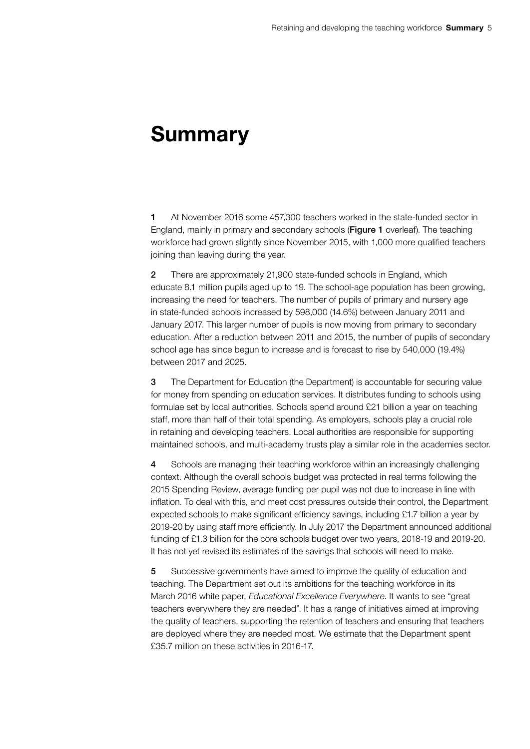## Summary

1 At November 2016 some 457,300 teachers worked in the state-funded sector in England, mainly in primary and secondary schools (Figure 1 overleaf). The teaching workforce had grown slightly since November 2015, with 1,000 more qualified teachers joining than leaving during the year.

2 There are approximately 21,900 state-funded schools in England, which educate 8.1 million pupils aged up to 19. The school-age population has been growing, increasing the need for teachers. The number of pupils of primary and nursery age in state-funded schools increased by 598,000 (14.6%) between January 2011 and January 2017. This larger number of pupils is now moving from primary to secondary education. After a reduction between 2011 and 2015, the number of pupils of secondary school age has since begun to increase and is forecast to rise by 540,000 (19.4%) between 2017 and 2025.

3 The Department for Education (the Department) is accountable for securing value for money from spending on education services. It distributes funding to schools using formulae set by local authorities. Schools spend around £21 billion a year on teaching staff, more than half of their total spending. As employers, schools play a crucial role in retaining and developing teachers. Local authorities are responsible for supporting maintained schools, and multi-academy trusts play a similar role in the academies sector.

4 Schools are managing their teaching workforce within an increasingly challenging context. Although the overall schools budget was protected in real terms following the 2015 Spending Review, average funding per pupil was not due to increase in line with inflation. To deal with this, and meet cost pressures outside their control, the Department expected schools to make significant efficiency savings, including £1.7 billion a year by 2019-20 by using staff more efficiently. In July 2017 the Department announced additional funding of £1.3 billion for the core schools budget over two years, 2018-19 and 2019-20. It has not yet revised its estimates of the savings that schools will need to make.

5 Successive governments have aimed to improve the quality of education and teaching. The Department set out its ambitions for the teaching workforce in its March 2016 white paper, *Educational Excellence Everywhere*. It wants to see "great teachers everywhere they are needed". It has a range of initiatives aimed at improving the quality of teachers, supporting the retention of teachers and ensuring that teachers are deployed where they are needed most. We estimate that the Department spent £35.7 million on these activities in 2016-17.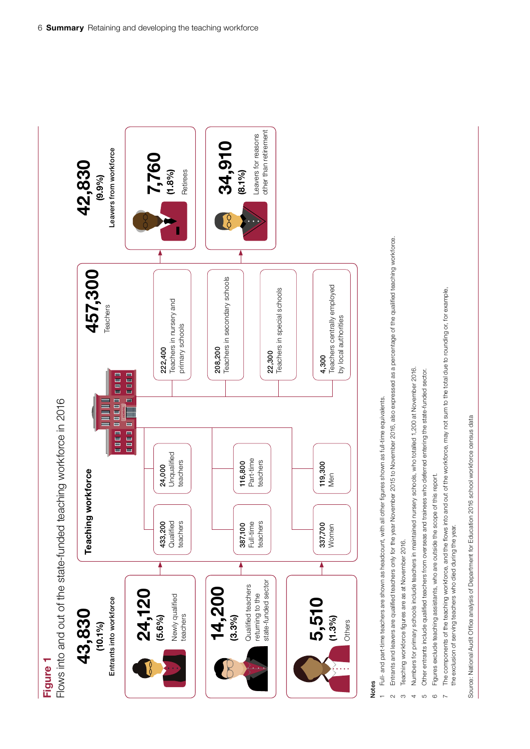# Figure 1

Flows into and out of the state-funded teaching workforce in 2016 Figure 1<br>Flows into and out of the state-funded teaching workforce in 2016



### Notes

- Full- and part-time teachers are shown as headcount, with all other figures shown as full-time equivalents. 1 Full- and part-time teachers are shown as headcount, with all other fi gures shown as full-time equivalents.
- Entrants and leavers are qualified teachers only for the year November 2015 to November 2016, also expressed as a percentage of the qualified teaching workforce. 2 Entrants and leavers are qualifi ed teachers only for the year November 2015 to November 2016, also expressed as a percentage of the qualifi ed teaching workforce.
- Teaching workforce figures are as at November 2016. 3 Teaching workforce figures are as at November 2016.
- Numbers for primary schools include teachers in maintained nursery schools, who totalled 1,200 at November 2016. 4 Numbers for primary schools include teachers in maintained nursery schools, who totalled 1,200 at November 2016.
	- Other entrants include qualified teachers from overseas and trainees who deferred entering the state-funded sector. 5 Other entrants include qualified teachers from overseas and trainees who deferred entering the state-funded sector.
- 6 Figures exclude teaching assistants, who are outside the scope of this report. Figures exclude teaching assistants, who are outside the scope of this report
- The components of the teaching workforce, and the flows into and out of the workforce, may not sum to the total due to rounding or, for example,  $7$  The components of the teaching workforce, and the flows into and out of the workforce, may not sum to the total due to rounding or, for example, the exclusion of serving teachers who died during the year. the exclusion of serving teachers who died during the year.

Source: National Audit Office analysis of Department for Education 2016 school workforce census data Source: National Audit Office analysis of Department for Education 2016 school workforce census data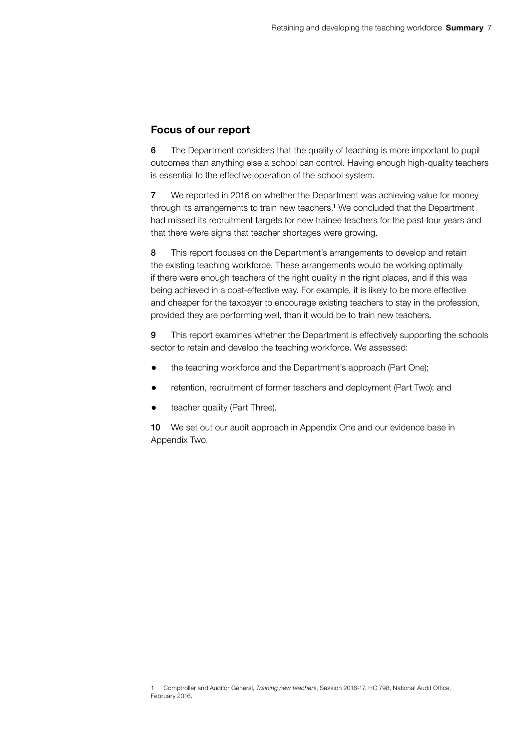#### Focus of our report

6 The Department considers that the quality of teaching is more important to pupil outcomes than anything else a school can control. Having enough high-quality teachers is essential to the effective operation of the school system.

7 We reported in 2016 on whether the Department was achieving value for money through its arrangements to train new teachers.<sup>1</sup> We concluded that the Department had missed its recruitment targets for new trainee teachers for the past four years and that there were signs that teacher shortages were growing.

8 This report focuses on the Department's arrangements to develop and retain the existing teaching workforce. These arrangements would be working optimally if there were enough teachers of the right quality in the right places, and if this was being achieved in a cost-effective way. For example, it is likely to be more effective and cheaper for the taxpayer to encourage existing teachers to stay in the profession, provided they are performing well, than it would be to train new teachers.

9 This report examines whether the Department is effectively supporting the schools sector to retain and develop the teaching workforce. We assessed:

- the teaching workforce and the Department's approach (Part One);
- retention, recruitment of former teachers and deployment (Part Two); and
- teacher quality (Part Three).

10 We set out our audit approach in Appendix One and our evidence base in Appendix Two.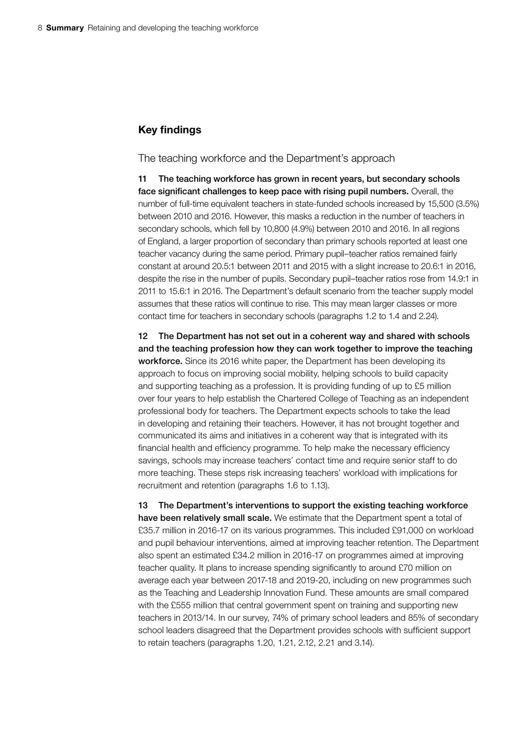#### Key findings

The teaching workforce and the Department's approach

11 The teaching workforce has grown in recent years, but secondary schools face significant challenges to keep pace with rising pupil numbers. Overall, the number of full-time equivalent teachers in state-funded schools increased by 15,500 (3.5%) between 2010 and 2016. However, this masks a reduction in the number of teachers in secondary schools, which fell by 10,800 (4.9%) between 2010 and 2016. In all regions of England, a larger proportion of secondary than primary schools reported at least one teacher vacancy during the same period. Primary pupil–teacher ratios remained fairly constant at around 20.5:1 between 2011 and 2015 with a slight increase to 20.6:1 in 2016, despite the rise in the number of pupils. Secondary pupil–teacher ratios rose from 14.9:1 in 2011 to 15.6:1 in 2016. The Department's default scenario from the teacher supply model assumes that these ratios will continue to rise. This may mean larger classes or more contact time for teachers in secondary schools (paragraphs 1.2 to 1.4 and 2.24).

12 The Department has not set out in a coherent way and shared with schools and the teaching profession how they can work together to improve the teaching workforce. Since its 2016 white paper, the Department has been developing its approach to focus on improving social mobility, helping schools to build capacity and supporting teaching as a profession. It is providing funding of up to £5 million over four years to help establish the Chartered College of Teaching as an independent professional body for teachers. The Department expects schools to take the lead in developing and retaining their teachers. However, it has not brought together and communicated its aims and initiatives in a coherent way that is integrated with its financial health and efficiency programme. To help make the necessary efficiency savings, schools may increase teachers' contact time and require senior staff to do more teaching. These steps risk increasing teachers' workload with implications for recruitment and retention (paragraphs 1.6 to 1.13).

13 The Department's interventions to support the existing teaching workforce have been relatively small scale. We estimate that the Department spent a total of £35.7 million in 2016-17 on its various programmes. This included £91,000 on workload and pupil behaviour interventions, aimed at improving teacher retention. The Department also spent an estimated £34.2 million in 2016-17 on programmes aimed at improving teacher quality. It plans to increase spending significantly to around £70 million on average each year between 2017-18 and 2019-20, including on new programmes such as the Teaching and Leadership Innovation Fund. These amounts are small compared with the £555 million that central government spent on training and supporting new teachers in 2013/14. In our survey, 74% of primary school leaders and 85% of secondary school leaders disagreed that the Department provides schools with sufficient support to retain teachers (paragraphs 1.20, 1.21, 2.12, 2.21 and 3.14).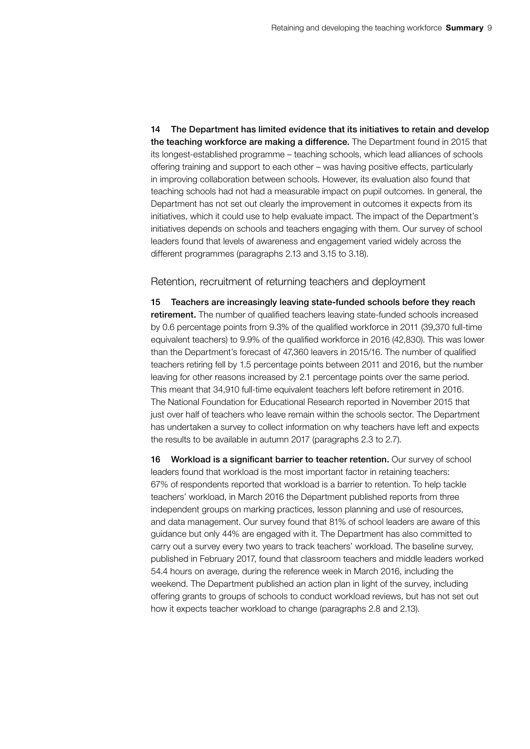14 The Department has limited evidence that its initiatives to retain and develop the teaching workforce are making a difference. The Department found in 2015 that its longest-established programme – teaching schools, which lead alliances of schools offering training and support to each other – was having positive effects, particularly in improving collaboration between schools. However, its evaluation also found that teaching schools had not had a measurable impact on pupil outcomes. In general, the Department has not set out clearly the improvement in outcomes it expects from its initiatives, which it could use to help evaluate impact. The impact of the Department's initiatives depends on schools and teachers engaging with them. Our survey of school leaders found that levels of awareness and engagement varied widely across the different programmes (paragraphs 2.13 and 3.15 to 3.18).

Retention, recruitment of returning teachers and deployment

15 Teachers are increasingly leaving state-funded schools before they reach retirement. The number of qualified teachers leaving state-funded schools increased by 0.6 percentage points from 9.3% of the qualified workforce in 2011 (39,370 full-time equivalent teachers) to 9.9% of the qualified workforce in 2016 (42,830). This was lower than the Department's forecast of 47,360 leavers in 2015/16. The number of qualified teachers retiring fell by 1.5 percentage points between 2011 and 2016, but the number leaving for other reasons increased by 2.1 percentage points over the same period. This meant that 34,910 full-time equivalent teachers left before retirement in 2016. The National Foundation for Educational Research reported in November 2015 that just over half of teachers who leave remain within the schools sector. The Department has undertaken a survey to collect information on why teachers have left and expects the results to be available in autumn 2017 (paragraphs 2.3 to 2.7).

16 Workload is a significant barrier to teacher retention. Our survey of school leaders found that workload is the most important factor in retaining teachers: 67% of respondents reported that workload is a barrier to retention. To help tackle teachers' workload, in March 2016 the Department published reports from three independent groups on marking practices, lesson planning and use of resources, and data management. Our survey found that 81% of school leaders are aware of this guidance but only 44% are engaged with it. The Department has also committed to carry out a survey every two years to track teachers' workload. The baseline survey, published in February 2017, found that classroom teachers and middle leaders worked 54.4 hours on average, during the reference week in March 2016, including the weekend. The Department published an action plan in light of the survey, including offering grants to groups of schools to conduct workload reviews, but has not set out how it expects teacher workload to change (paragraphs 2.8 and 2.13).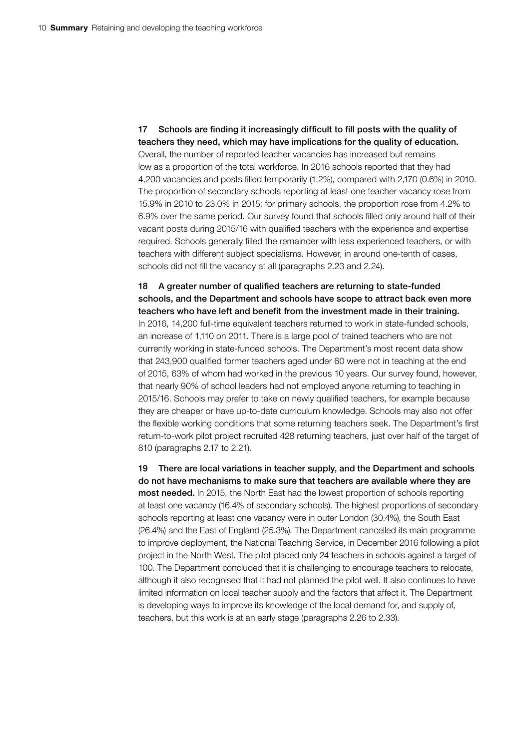17 Schools are finding it increasingly difficult to fill posts with the quality of teachers they need, which may have implications for the quality of education. Overall, the number of reported teacher vacancies has increased but remains low as a proportion of the total workforce. In 2016 schools reported that they had 4,200 vacancies and posts filled temporarily (1.2%), compared with 2,170 (0.6%) in 2010. The proportion of secondary schools reporting at least one teacher vacancy rose from 15.9% in 2010 to 23.0% in 2015; for primary schools, the proportion rose from 4.2% to 6.9% over the same period. Our survey found that schools filled only around half of their vacant posts during 2015/16 with qualified teachers with the experience and expertise required. Schools generally filled the remainder with less experienced teachers, or with teachers with different subject specialisms. However, in around one-tenth of cases, schools did not fill the vacancy at all (paragraphs 2.23 and 2.24).

18 A greater number of qualified teachers are returning to state-funded schools, and the Department and schools have scope to attract back even more teachers who have left and benefit from the investment made in their training. In 2016, 14,200 full-time equivalent teachers returned to work in state-funded schools, an increase of 1,110 on 2011. There is a large pool of trained teachers who are not currently working in state-funded schools. The Department's most recent data show that 243,900 qualified former teachers aged under 60 were not in teaching at the end of 2015, 63% of whom had worked in the previous 10 years. Our survey found, however, that nearly 90% of school leaders had not employed anyone returning to teaching in 2015/16. Schools may prefer to take on newly qualified teachers, for example because they are cheaper or have up-to-date curriculum knowledge. Schools may also not offer the flexible working conditions that some returning teachers seek. The Department's first return-to-work pilot project recruited 428 returning teachers, just over half of the target of 810 (paragraphs 2.17 to 2.21).

19 There are local variations in teacher supply, and the Department and schools do not have mechanisms to make sure that teachers are available where they are most needed. In 2015, the North East had the lowest proportion of schools reporting at least one vacancy (16.4% of secondary schools). The highest proportions of secondary schools reporting at least one vacancy were in outer London (30.4%), the South East (26.4%) and the East of England (25.3%). The Department cancelled its main programme to improve deployment, the National Teaching Service, in December 2016 following a pilot project in the North West. The pilot placed only 24 teachers in schools against a target of 100. The Department concluded that it is challenging to encourage teachers to relocate, although it also recognised that it had not planned the pilot well. It also continues to have limited information on local teacher supply and the factors that affect it. The Department is developing ways to improve its knowledge of the local demand for, and supply of, teachers, but this work is at an early stage (paragraphs 2.26 to 2.33).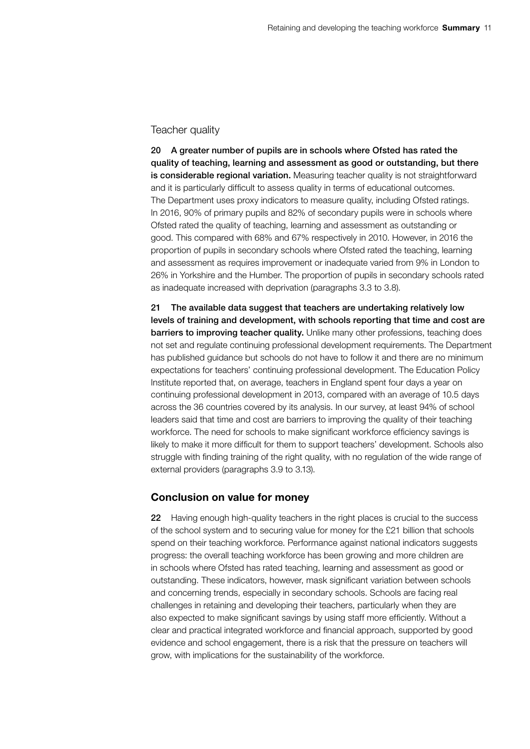#### Teacher quality

20 A greater number of pupils are in schools where Ofsted has rated the quality of teaching, learning and assessment as good or outstanding, but there is considerable regional variation. Measuring teacher quality is not straightforward and it is particularly difficult to assess quality in terms of educational outcomes. The Department uses proxy indicators to measure quality, including Ofsted ratings. In 2016, 90% of primary pupils and 82% of secondary pupils were in schools where Ofsted rated the quality of teaching, learning and assessment as outstanding or good. This compared with 68% and 67% respectively in 2010. However, in 2016 the proportion of pupils in secondary schools where Ofsted rated the teaching, learning and assessment as requires improvement or inadequate varied from 9% in London to 26% in Yorkshire and the Humber. The proportion of pupils in secondary schools rated as inadequate increased with deprivation (paragraphs 3.3 to 3.8).

21 The available data suggest that teachers are undertaking relatively low levels of training and development, with schools reporting that time and cost are barriers to improving teacher quality. Unlike many other professions, teaching does not set and regulate continuing professional development requirements. The Department has published guidance but schools do not have to follow it and there are no minimum expectations for teachers' continuing professional development. The Education Policy Institute reported that, on average, teachers in England spent four days a year on continuing professional development in 2013, compared with an average of 10.5 days across the 36 countries covered by its analysis. In our survey, at least 94% of school leaders said that time and cost are barriers to improving the quality of their teaching workforce. The need for schools to make significant workforce efficiency savings is likely to make it more difficult for them to support teachers' development. Schools also struggle with finding training of the right quality, with no regulation of the wide range of external providers (paragraphs 3.9 to 3.13).

#### Conclusion on value for money

22 Having enough high-quality teachers in the right places is crucial to the success of the school system and to securing value for money for the £21 billion that schools spend on their teaching workforce. Performance against national indicators suggests progress: the overall teaching workforce has been growing and more children are in schools where Ofsted has rated teaching, learning and assessment as good or outstanding. These indicators, however, mask significant variation between schools and concerning trends, especially in secondary schools. Schools are facing real challenges in retaining and developing their teachers, particularly when they are also expected to make significant savings by using staff more efficiently. Without a clear and practical integrated workforce and financial approach, supported by good evidence and school engagement, there is a risk that the pressure on teachers will grow, with implications for the sustainability of the workforce.